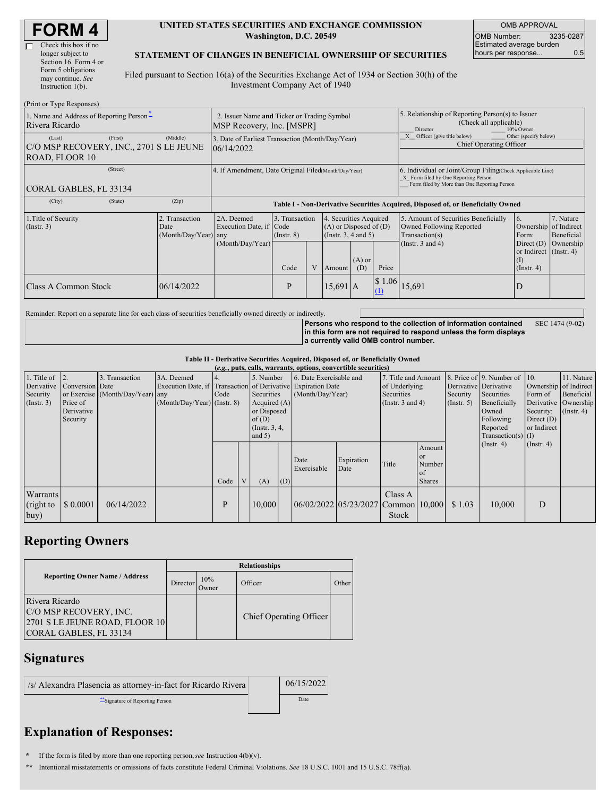| <b>FORM4</b> |
|--------------|
|--------------|

| Check this box if no  |
|-----------------------|
| longer subject to     |
| Section 16. Form 4 or |
| Form 5 obligations    |
| may continue. See     |
| Instruction $1(b)$ .  |
|                       |

#### **UNITED STATES SECURITIES AND EXCHANGE COMMISSION Washington, D.C. 20549**

OMB APPROVAL OMB Number: 3235-0287 Estimated average burden hours per response... 0.5

#### **STATEMENT OF CHANGES IN BENEFICIAL OWNERSHIP OF SECURITIES**

Filed pursuant to Section 16(a) of the Securities Exchange Act of 1934 or Section 30(h) of the Investment Company Act of 1940

| (Print or Type Responses)                                                      |                                                |                                                                                  |                 |                |            |                                                                              |                                                                                                                                                    |                                                                                                             |                                                                                           |                                      |  |
|--------------------------------------------------------------------------------|------------------------------------------------|----------------------------------------------------------------------------------|-----------------|----------------|------------|------------------------------------------------------------------------------|----------------------------------------------------------------------------------------------------------------------------------------------------|-------------------------------------------------------------------------------------------------------------|-------------------------------------------------------------------------------------------|--------------------------------------|--|
| 1. Name and Address of Reporting Person-<br>Rivera Ricardo                     |                                                | 2. Issuer Name and Ticker or Trading Symbol<br>MSP Recovery, Inc. [MSPR]         |                 |                |            |                                                                              |                                                                                                                                                    | 5. Relationship of Reporting Person(s) to Issuer<br>(Check all applicable)<br>Director<br>10% Owner         |                                                                                           |                                      |  |
| (First)<br>(Last)<br>C/O MSP RECOVERY, INC., 2701 S LE JEUNE<br>ROAD, FLOOR 10 | (Middle)                                       | 3. Date of Earliest Transaction (Month/Day/Year)<br>06/14/2022                   |                 |                |            |                                                                              |                                                                                                                                                    | X Officer (give title below)<br>Other (specify below)<br>Chief Operating Officer                            |                                                                                           |                                      |  |
| (Street)<br>CORAL GABLES, FL 33134                                             |                                                | 4. If Amendment, Date Original Filed Month/Day/Year)                             |                 |                |            |                                                                              | 6. Individual or Joint/Group Filing Check Applicable Line)<br>X Form filed by One Reporting Person<br>Form filed by More than One Reporting Person |                                                                                                             |                                                                                           |                                      |  |
| (City)<br>(State)                                                              | (Zip)                                          | Table I - Non-Derivative Securities Acquired, Disposed of, or Beneficially Owned |                 |                |            |                                                                              |                                                                                                                                                    |                                                                                                             |                                                                                           |                                      |  |
| 1. Title of Security<br>$($ Instr. 3 $)$                                       | 2. Transaction<br>Date<br>(Month/Day/Year) any | 2A. Deemed<br>Execution Date, if Code<br>(Month/Day/Year)                        | $($ Instr. $8)$ | 3. Transaction |            | 4. Securities Acquired<br>$(A)$ or Disposed of $(D)$<br>(Insert. 3, 4 and 5) |                                                                                                                                                    | 5. Amount of Securities Beneficially<br>Owned Following Reported<br>Transaction(s)<br>(Instr. $3$ and $4$ ) | <sup>6.</sup><br>Ownership of Indirect<br>Form:<br>Direct $(D)$<br>or Indirect (Instr. 4) | 7. Nature<br>Beneficial<br>Ownership |  |
|                                                                                |                                                |                                                                                  | Code            | V              | Amount     | $(A)$ or<br>(D)                                                              | Price                                                                                                                                              |                                                                                                             | (I)<br>$($ Instr. 4 $)$                                                                   |                                      |  |
| Class A Common Stock                                                           | 06/14/2022                                     |                                                                                  | P               |                | $15,691$ A |                                                                              | 1.06<br><sup>S</sup>                                                                                                                               | 15,691                                                                                                      | D                                                                                         |                                      |  |

Reminder: Report on a separate line for each class of securities beneficially owned directly or indirectly.

**Persons who respond to the collection of information contained in this form are not required to respond unless the form displays a currently valid OMB control number.** SEC 1474 (9-02)

#### **Table II - Derivative Securities Acquired, Disposed of, or Beneficially Owned**

| (e.g., puts, calls, warrants, options, convertible securities) |                   |                                  |                                                              |              |  |                  |                |                                     |                                           |                     |               |              |                              |                       |             |
|----------------------------------------------------------------|-------------------|----------------------------------|--------------------------------------------------------------|--------------|--|------------------|----------------|-------------------------------------|-------------------------------------------|---------------------|---------------|--------------|------------------------------|-----------------------|-------------|
| 1. Title of $\vert$ 2.                                         |                   | . Transaction<br>$\mathcal{E}$   | 3A. Deemed                                                   |              |  | 5. Number        |                | 6. Date Exercisable and             |                                           | 7. Title and Amount |               |              | 8. Price of 9. Number of 10. |                       | 11. Nature  |
| Derivative                                                     | Conversion Date   |                                  | Execution Date, if Transaction of Derivative Expiration Date |              |  |                  |                |                                     |                                           | of Underlying       |               |              | Derivative Derivative        | Ownership of Indirect |             |
| Security                                                       |                   | or Exercise (Month/Day/Year) any |                                                              | Code         |  | Securities       |                | (Month/Day/Year)                    |                                           | Securities          |               | Security     | Securities                   | Form of               | Beneficial  |
| (Insert. 3)                                                    | Price of          |                                  | $(Month/Day/Year)$ (Instr. 8)                                |              |  |                  | Acquired $(A)$ |                                     | (Instr. $3$ and $4$ )<br>$($ Instr. 5 $)$ |                     |               | Beneficially | Derivative Ownership         |                       |             |
|                                                                | Derivative        |                                  |                                                              |              |  | or Disposed      |                |                                     |                                           |                     |               |              | Owned                        | Security:             | (Insert. 4) |
|                                                                | Security          |                                  |                                                              |              |  | of(D)            |                |                                     |                                           |                     |               |              | Following                    | Direct $(D)$          |             |
|                                                                |                   |                                  |                                                              |              |  | (Instr. $3, 4$ , |                |                                     |                                           |                     |               |              | Reported                     | or Indirect           |             |
|                                                                |                   |                                  |                                                              |              |  | and $5)$         |                |                                     |                                           |                     |               |              | $Transaction(s)$ (I)         |                       |             |
|                                                                |                   |                                  |                                                              |              |  |                  |                |                                     |                                           |                     | Amount        |              | $($ Instr. 4 $)$             | $($ Instr. 4 $)$      |             |
|                                                                |                   |                                  |                                                              |              |  |                  |                | Date                                | Expiration                                |                     | <b>or</b>     |              |                              |                       |             |
|                                                                |                   |                                  |                                                              |              |  |                  |                | Exercisable                         | Date                                      | Title               | Number        |              |                              |                       |             |
|                                                                |                   |                                  |                                                              |              |  |                  |                |                                     |                                           |                     | 01            |              |                              |                       |             |
|                                                                |                   |                                  |                                                              | Code         |  | (A)              | (D)            |                                     |                                           |                     | <b>Shares</b> |              |                              |                       |             |
| Warrants                                                       |                   |                                  |                                                              |              |  |                  |                |                                     |                                           | Class A             |               |              |                              |                       |             |
| (right to                                                      | $\sqrt{\$0.0001}$ | 06/14/2022                       |                                                              | $\mathbf{P}$ |  | 10.000           |                | 06/02/2022 05/23/2027 Common 10,000 |                                           |                     |               | \$1.03       | 10,000                       | D                     |             |
| buy)                                                           |                   |                                  |                                                              |              |  |                  |                |                                     |                                           | Stock               |               |              |                              |                       |             |
|                                                                |                   |                                  |                                                              |              |  |                  |                |                                     |                                           |                     |               |              |                              |                       |             |

## **Reporting Owners**

|                                                                                                             | <b>Relationships</b> |               |                         |       |  |  |  |  |  |
|-------------------------------------------------------------------------------------------------------------|----------------------|---------------|-------------------------|-------|--|--|--|--|--|
| <b>Reporting Owner Name / Address</b>                                                                       | Director             | 10%<br>Dwner: | Officer                 | Other |  |  |  |  |  |
| Rivera Ricardo<br><b>C/O MSP RECOVERY, INC.</b><br>2701 S LE JEUNE ROAD, FLOOR 10<br>CORAL GABLES, FL 33134 |                      |               | Chief Operating Officer |       |  |  |  |  |  |

### **Signatures**

| /s/ Alexandra Plasencia as attorney-in-fact for Ricardo Rivera |  |
|----------------------------------------------------------------|--|
|----------------------------------------------------------------|--|

\*\*Signature of Reporting Person Date

06/15/2022

# **Explanation of Responses:**

**\*** If the form is filed by more than one reporting person,*see* Instruction 4(b)(v).

**\*\*** Intentional misstatements or omissions of facts constitute Federal Criminal Violations. *See* 18 U.S.C. 1001 and 15 U.S.C. 78ff(a).